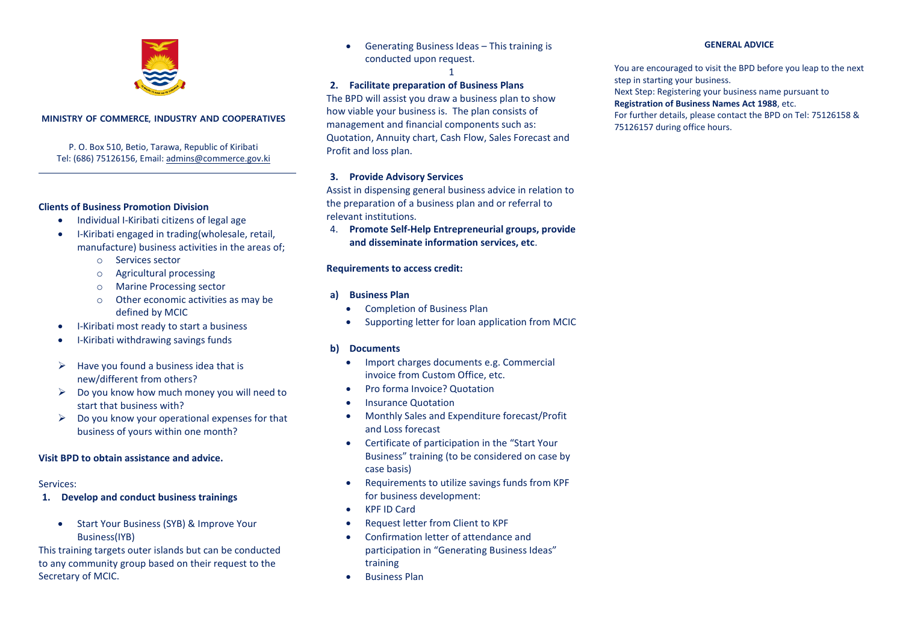

### **MINISTRY OF COMMERCE, INDUSTRY AND COOPERATIVES**

P. O. Box 510, Betio, Tarawa, Republic of Kiribati Tel: (686) 75126156, Email: [admins@commerce.gov.ki](mailto:admins@commerce.gov.ki)

### **Clients of Business Promotion Division**

- Individual I-Kiribati citizens of legal age
- I-Kiribati engaged in trading(wholesale, retail, manufacture) business activities in the areas of;
	- o Services sector
	- o Agricultural processing
	- o Marine Processing sector
	- o Other economic activities as may be defined by MCIC
- I-Kiribati most ready to start a business
- I-Kiribati withdrawing savings funds
- $\triangleright$  Have you found a business idea that is new/different from others?
- $\triangleright$  Do you know how much money you will need to start that business with?
- $\triangleright$  Do you know your operational expenses for that business of yours within one month?

### **Visit BPD to obtain assistance and advice.**

### Services:

- **1. Develop and conduct business trainings**
	- Start Your Business (SYB) & Improve Your Business(IYB)

This training targets outer islands but can be conducted to any community group based on their request to the Secretary of MCIC.

 Generating Business Ideas – This training is conducted upon request.

1

## **2. Facilitate preparation of Business Plans**

The BPD will assist you draw a business plan to show how viable your business is. The plan consists of management and financial components such as: Quotation, Annuity chart, Cash Flow, Sales Forecast and Profit and loss plan.

### **3. Provide Advisory Services**

Assist in dispensing general business advice in relation to the preparation of a business plan and or referral to relevant institutions.

4. **Promote Self-Help Entrepreneurial groups, provide and disseminate information services, etc**.

### **Requirements to access credit:**

### **a) Business Plan**

- Completion of Business Plan
- Supporting letter for loan application from MCIC

## **b) Documents**

- Import charges documents e.g. Commercial invoice from Custom Office, etc.
- Pro forma Invoice? Quotation
- Insurance Quotation
- Monthly Sales and Expenditure forecast/Profit and Loss forecast
- Certificate of participation in the "Start Your Business" training (to be considered on case by case basis)
- Requirements to utilize savings funds from KPF for business development:
- KPF ID Card
- Request letter from Client to KPF
- Confirmation letter of attendance and participation in "Generating Business Ideas" training
- Business Plan

### **GENERAL ADVICE**

You are encouraged to visit the BPD before you leap to the next step in starting your business.

Next Step: Registering your business name pursuant to

#### **Registration of Business Names Act 1988**, etc.

For further details, please contact the BPD on Tel: 75126158 & 75126157 during office hours.